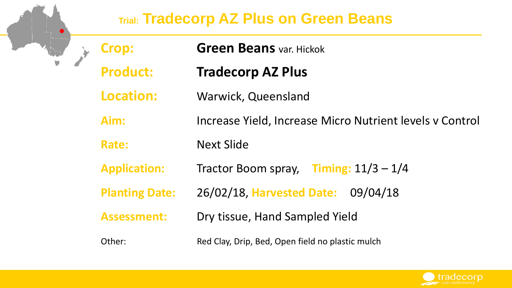#### **Trial: Tradecorp AZ Plus on Green Beans**

|  | <b>Crop:</b>          | <b>Green Beans var. Hickok</b>                           |  |  |  |  |  |
|--|-----------------------|----------------------------------------------------------|--|--|--|--|--|
|  | <b>Product:</b>       | <b>Tradecorp AZ Plus</b>                                 |  |  |  |  |  |
|  | <b>Location:</b>      | <b>Warwick, Queensland</b>                               |  |  |  |  |  |
|  | Aim:                  | Increase Yield, Increase Micro Nutrient levels v Control |  |  |  |  |  |
|  | Rate:                 | <b>Next Slide</b>                                        |  |  |  |  |  |
|  | <b>Application:</b>   | Tractor Boom spray, Timing: $11/3 - 1/4$                 |  |  |  |  |  |
|  | <b>Planting Date:</b> | 26/02/18, Harvested Date: 09/04/18                       |  |  |  |  |  |
|  | <b>Assessment:</b>    | Dry tissue, Hand Sampled Yield                           |  |  |  |  |  |
|  | Other:                | Red Clay, Drip, Bed, Open field no plastic mulch         |  |  |  |  |  |

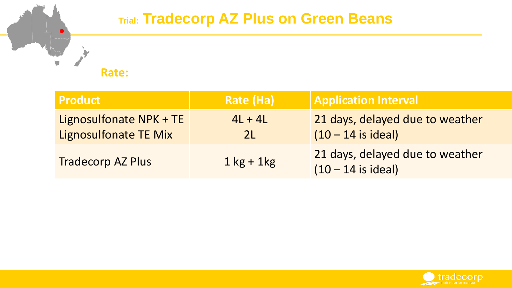#### **Trial: Tradecorp AZ Plus on Green Beans**

**Rate:**

| <b>Product</b>                                          | Rate (Ha)                   | <b>Application Interval</b>                             |
|---------------------------------------------------------|-----------------------------|---------------------------------------------------------|
| Lignosulfonate NPK + TE<br><b>Lignosulfonate TE Mix</b> | $4L + 4L$<br>2 <sub>L</sub> | 21 days, delayed due to weather<br>$(10 - 14$ is ideal) |
| <b>Tradecorp AZ Plus</b>                                | $1$ kg + 1kg                | 21 days, delayed due to weather<br>$(10 - 14$ is ideal) |

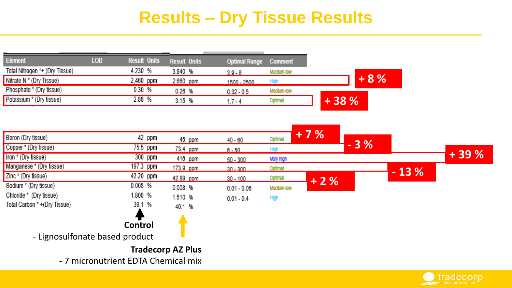## **Results – Dry Tissue Results**

| <b>Element</b>                      | <b>LOD</b> | <b>Result Units</b> | Result Units | <b>Optimal Range</b> | Comment          |        |       |        |        |
|-------------------------------------|------------|---------------------|--------------|----------------------|------------------|--------|-------|--------|--------|
| Total Nitrogen *+ (Dry Tissue)      |            | 4.230 %             | 3.840 %      | $3.9 - 6$            | Medium-low       |        |       |        |        |
| Nitrate N * (Dry Tissue)            |            | 2,460 ppm           | 2,660 ppm    | 1500 - 2500          | <b>High</b>      |        | $+8%$ |        |        |
| Phosphate * (Dry tissue)            |            | 0.30%               | 0.26%        | $0.32 - 0.5$         | Medium-low       |        |       |        |        |
| Potassium * (Dry tissue)            |            | 2.88 %              | 3.15 %       | $1.7 - 4$            | Optimal          | $+38%$ |       |        |        |
|                                     |            |                     |              |                      |                  |        |       |        |        |
| Boron (Dry tissue)                  |            | 42 ppm              |              |                      |                  | $+7%$  |       |        |        |
|                                     |            |                     | 45 ppm       | $40 - 60$            | Optimal          |        | $-3%$ |        |        |
| Copper * (Dry tissue)               |            | 75.5 ppm            | 73.4 ppm     | $6 - 50$             | <b>High</b>      |        |       |        |        |
| Iron * (Dry tissue)                 |            | $300$ ppm           | 416 ppm      | $50 - 300$           | <b>Very high</b> |        |       |        | $+39%$ |
| Manganese * (Dry tissue)            |            | 197.3 ppm           | 173.9 ppm    | $30 - 300$           | Optimal          |        |       |        |        |
| Zinc * (Dry tissue)                 |            | 42.20 ppm           | 42.89 ppm    | $30 - 100$           | Optimal          | $+2%$  |       | $-13%$ |        |
| Sodium * (Dry tissue)               |            | 0.008%              | $0.008$ %    | $0.01 - 0.08$        | Medium-low       |        |       |        |        |
| Chloride * (Dry tissue)             |            | 1.800 %             | 1.510 %      | $0.01 - 0.4$         | High             |        |       |        |        |
| Total Carbon * +(Dry Tissue)        |            | 39.1 %              | 40.1 %       |                      |                  |        |       |        |        |
|                                     |            |                     |              |                      |                  |        |       |        |        |
|                                     |            | Control             |              |                      |                  |        |       |        |        |
| - Lignosulfonate based product      |            |                     |              |                      |                  |        |       |        |        |
| <b>Tradecorp AZ Plus</b>            |            |                     |              |                      |                  |        |       |        |        |
| - 7 micronutrient EDTA Chemical mix |            |                     |              |                      |                  |        |       |        |        |

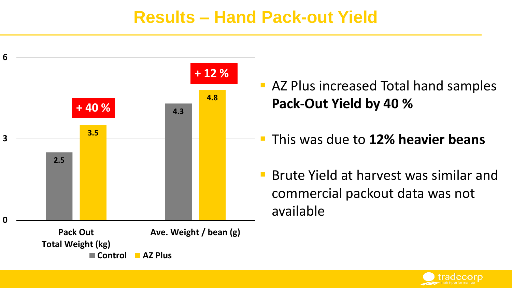#### **Results – Hand Pack-out Yield**



- **AZ Plus increased Total hand samples Pack-Out Yield by 40 %**
- This was due to **12% heavier beans**
- Brute Yield at harvest was similar and commercial packout data was not available

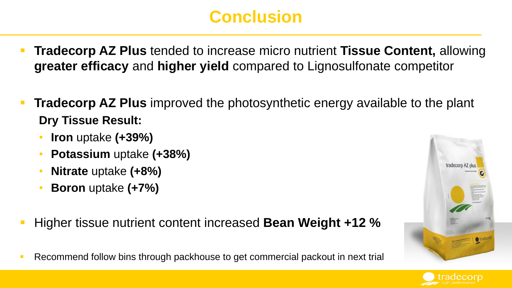# **Conclusion**

- **Tradecorp AZ Plus** tended to increase micro nutrient **Tissue Content,** allowing **greater efficacy** and **higher yield** compared to Lignosulfonate competitor
- **Tradecorp AZ Plus** improved the photosynthetic energy available to the plant **Dry Tissue Result:**
	- **Iron** uptake **(+39%)**
	- **Potassium** uptake **(+38%)**
	- **Nitrate** uptake **(+8%)**
	- **Boron** uptake **(+7%)**
- Higher tissue nutrient content increased **Bean Weight +12 %**
- Recommend follow bins through packhouse to get commercial packout in next trial